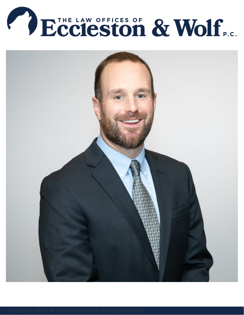

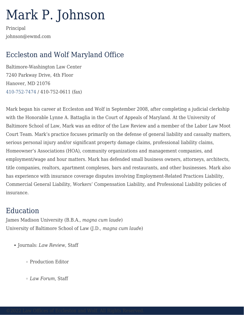## Mark P. Johnson

Principal johnson@ewmd.com

## Eccleston and Wolf Maryland Office

Baltimore-Washington Law Center 7240 Parkway Drive, 4th Floor Hanover, MD 21076 [410-752-7474](#page--1-0) / 410-752-0611 (fax)

Mark began his career at Eccleston and Wolf in September 2008, after completing a judicial clerkship with the Honorable Lynne A. Battaglia in the Court of Appeals of Maryland. At the University of Baltimore School of Law, Mark was an editor of the Law Review and a member of the Labor Law Moot Court Team. Mark's practice focuses primarily on the defense of general liability and casualty matters, serious personal injury and/or significant property damage claims, professional liability claims, Homeowner's Associations (HOA), community organizations and management companies, and employment/wage and hour matters. Mark has defended small business owners, attorneys, architects, title companies, realtors, apartment complexes, bars and restaurants, and other businesses. Mark also has experience with insurance coverage disputes involving Employment-Related Practices Liability, Commercial General Liability, Workers' Compensation Liability, and Professional Liability policies of insurance.

## Education

James Madison University (B.B.A., *magna cum laude*) University of Baltimore School of Law (J.D., *magna cum laud*e)

- Journals: *Law Review*, Staff
	- Production Editor
	- *Law Forum*, Staff